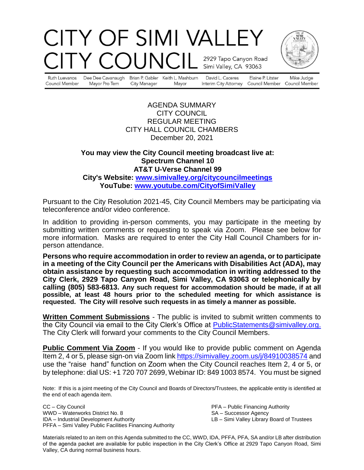# CITY OF SIMI VALLEY COUNC. 2929 Tapo Canyon Road Simi Valley, CA 93063



Ruth Luevanos Council Member

Dee Dee Cavanaugh Mayor Pro Tem City Manager

Brian P. Gabler Keith L. Mashburn Mayor

David L. Caceres

Elaine P. Litster Interim City Attorney Council Member Council Member

Mike Judge

AGENDA SUMMARY CITY COUNCIL REGULAR MEETING CITY HALL COUNCIL CHAMBERS December 20, 2021

#### **You may view the City Council meeting broadcast live at: Spectrum Channel 10 AT&T U-Verse Channel 99 City's Website: [www.simivalley.org/citycouncilmeetings](http://www.simivalley.org/citycouncilmeetings) YouTube: [www.youtube.com/CityofSimiValley](http://www.youtube.com/CityofSimiValley)**

Pursuant to the City Resolution 2021-45, City Council Members may be participating via teleconference and/or video conference.

In addition to providing in-person comments, you may participate in the meeting by submitting written comments or requesting to speak via Zoom. Please see below for more information. Masks are required to enter the City Hall Council Chambers for inperson attendance.

**Persons who require accommodation in order to review an agenda, or to participate in a meeting of the City Council per the Americans with Disabilities Act (ADA), may obtain assistance by requesting such accommodation in writing addressed to the City Clerk, 2929 Tapo Canyon Road, Simi Valley, CA 93063 or telephonically by calling (805) 583-6813. Any such request for accommodation should be made, if at all possible, at least 48 hours prior to the scheduled meeting for which assistance is requested. The City will resolve such requests in as timely a manner as possible.**

**Written Comment Submissions** - The public is invited to submit written comments to the City Council via email to the City Clerk's Office at [PublicStatements@simivalley.org.](mailto:PublicStatements@simivalley.org) The City Clerk will forward your comments to the City Council Members.

**Public Comment Via Zoom** - If you would like to provide public comment on Agenda Item 2, 4 or 5, please sign-on via Zoom link <https://simivalley.zoom.us/j/84910038574> and use the "raise hand" function on Zoom when the City Council reaches Item 2, 4 or 5, or by telephone: dial US: +1 720 707 2699, Webinar ID: 849 1003 8574. You must be signed

Note: If this is a joint meeting of the City Council and Boards of Directors/Trustees, the applicable entity is identified at the end of each agenda item.

CC – City Council PFA – Public Financing Authority WWD – Waterworks District No. 8 SA – Successor Agency<br>
IDA – Industrial Development Authority SA – Simi Valley Library PFFA – Simi Valley Public Facilities Financing Authority

LB – Simi Valley Library Board of Trustees

Materials related to an item on this Agenda submitted to the CC, WWD, IDA, PFFA, PFA, SA and/or LB after distribution of the agenda packet are available for public inspection in the City Clerk's Office at 2929 Tapo Canyon Road, Simi Valley, CA during normal business hours.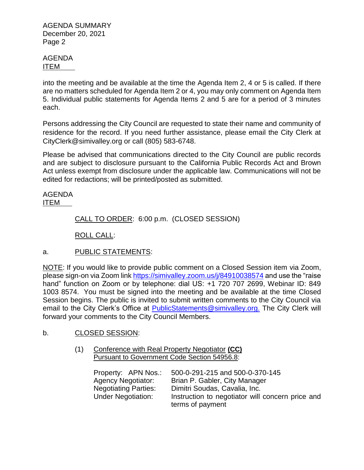AGENDA ITEM

into the meeting and be available at the time the Agenda Item 2, 4 or 5 is called. If there are no matters scheduled for Agenda Item 2 or 4, you may only comment on Agenda Item 5. Individual public statements for Agenda Items 2 and 5 are for a period of 3 minutes each.

Persons addressing the City Council are requested to state their name and community of residence for the record. If you need further assistance, please email the City Clerk at CityClerk@simivalley.org or call (805) 583-6748.

Please be advised that communications directed to the City Council are public records and are subject to disclosure pursuant to the California Public Records Act and Brown Act unless exempt from disclosure under the applicable law. Communications will not be edited for redactions; will be printed/posted as submitted.

AGENDA ITEM

CALL TO ORDER: 6:00 p.m. (CLOSED SESSION)

ROLL CALL:

a. PUBLIC STATEMENTS:

NOTE: If you would like to provide public comment on a Closed Session item via Zoom, please sign-on via Zoom link <https://simivalley.zoom.us/j/84910038574> and use the "raise hand" function on Zoom or by telephone: dial US: +1 720 707 2699, Webinar ID: 849 1003 8574. You must be signed into the meeting and be available at the time Closed Session begins. The public is invited to submit written comments to the City Council via email to the City Clerk's Office at [PublicStatements@simivalley.org.](mailto:PublicStatements@simivalley.org) The City Clerk will forward your comments to the City Council Members.

# b. CLOSED SESSION:

(1) Conference with Real Property Negotiator **(CC)**  Pursuant to Government Code Section 54956.8:

| Property: APN Nos.:         | 500-0-291-215 and 500-0-370-145                                      |
|-----------------------------|----------------------------------------------------------------------|
| <b>Agency Negotiator:</b>   | Brian P. Gabler, City Manager                                        |
| <b>Negotiating Parties:</b> | Dimitri Soudas, Cavalia, Inc.                                        |
| <b>Under Negotiation:</b>   | Instruction to negotiator will concern price and<br>terms of payment |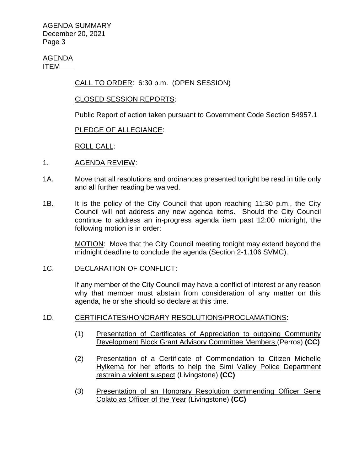AGENDA ITEM

CALL TO ORDER: 6:30 p.m. (OPEN SESSION)

### CLOSED SESSION REPORTS:

Public Report of action taken pursuant to Government Code Section 54957.1

## PLEDGE OF ALLEGIANCE:

ROLL CALL:

- 1. AGENDA REVIEW:
- 1A. Move that all resolutions and ordinances presented tonight be read in title only and all further reading be waived.
- 1B. It is the policy of the City Council that upon reaching 11:30 p.m., the City Council will not address any new agenda items. Should the City Council continue to address an in-progress agenda item past 12:00 midnight, the following motion is in order:

MOTION: Move that the City Council meeting tonight may extend beyond the midnight deadline to conclude the agenda (Section 2-1.106 SVMC).

### 1C. DECLARATION OF CONFLICT:

If any member of the City Council may have a conflict of interest or any reason why that member must abstain from consideration of any matter on this agenda, he or she should so declare at this time.

### 1D. CERTIFICATES/HONORARY RESOLUTIONS/PROCLAMATIONS:

- (1) Presentation of Certificates of Appreciation to outgoing Community Development Block Grant Advisory Committee Members (Perros) **(CC)**
- (2) Presentation of a Certificate of Commendation to Citizen Michelle Hylkema for her efforts to help the Simi Valley Police Department restrain a violent suspect (Livingstone) **(CC)**
- (3) Presentation of an Honorary Resolution commending Officer Gene Colato as Officer of the Year (Livingstone) **(CC)**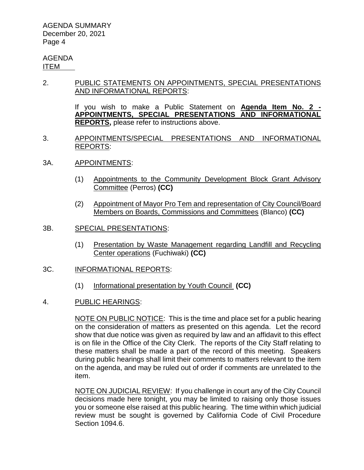#### AGENDA ITEM

2. PUBLIC STATEMENTS ON APPOINTMENTS, SPECIAL PRESENTATIONS AND INFORMATIONAL REPORTS:

> If you wish to make a Public Statement on **Agenda Item No. 2 - APPOINTMENTS, SPECIAL PRESENTATIONS AND INFORMATIONAL REPORTS,** please refer to instructions above.

- 3. APPOINTMENTS/SPECIAL PRESENTATIONS AND INFORMATIONAL REPORTS:
- 3A. APPOINTMENTS:
	- (1) Appointments to the Community Development Block Grant Advisory Committee (Perros) **(CC)**
	- (2) Appointment of Mayor Pro Tem and representation of City Council/Board Members on Boards, Commissions and Committees (Blanco) **(CC)**
- 3B. SPECIAL PRESENTATIONS:
	- (1) Presentation by Waste Management regarding Landfill and Recycling Center operations (Fuchiwaki) **(CC)**
- 3C. INFORMATIONAL REPORTS:
	- (1) Informational presentation by Youth Council **(CC)**
- 4. PUBLIC HEARINGS:

NOTE ON PUBLIC NOTICE: This is the time and place set for a public hearing on the consideration of matters as presented on this agenda. Let the record show that due notice was given as required by law and an affidavit to this effect is on file in the Office of the City Clerk. The reports of the City Staff relating to these matters shall be made a part of the record of this meeting. Speakers during public hearings shall limit their comments to matters relevant to the item on the agenda, and may be ruled out of order if comments are unrelated to the item.

NOTE ON JUDICIAL REVIEW: If you challenge in court any of the City Council decisions made here tonight, you may be limited to raising only those issues you or someone else raised at this public hearing. The time within which judicial review must be sought is governed by California Code of Civil Procedure Section 1094.6.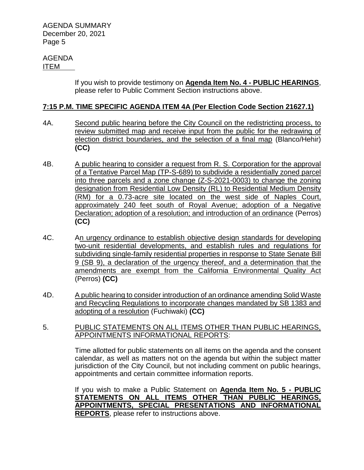#### AGENDA ITEM

If you wish to provide testimony on **Agenda Item No. 4 - PUBLIC HEARINGS**, please refer to Public Comment Section instructions above.

### **7:15 P.M. TIME SPECIFIC AGENDA ITEM 4A (Per Election Code Section 21627.1)**

- 4A. Second public hearing before the City Council on the redistricting process, to review submitted map and receive input from the public for the redrawing of election district boundaries, and the selection of a final map (Blanco/Hehir) **(CC)**
- 4B. A public hearing to consider a request from R. S. Corporation for the approval of a Tentative Parcel Map (TP-S-689) to subdivide a residentially zoned parcel into three parcels and a zone change (Z-S-2021-0003) to change the zoning designation from Residential Low Density (RL) to Residential Medium Density (RM) for a 0.73-acre site located on the west side of Naples Court, approximately 240 feet south of Royal Avenue; adoption of a Negative Declaration; adoption of a resolution; and introduction of an ordinance (Perros) **(CC)**
- 4C. An urgency ordinance to establish objective design standards for developing two-unit residential developments, and establish rules and regulations for subdividing single-family residential properties in response to State Senate Bill 9 (SB 9), a declaration of the urgency thereof, and a determination that the amendments are exempt from the California Environmental Quality Act (Perros) **(CC)**
- 4D. A public hearing to consider introduction of an ordinance amending Solid Waste and Recycling Regulations to incorporate changes mandated by SB 1383 and adopting of a resolution (Fuchiwaki) **(CC)**
- 5. PUBLIC STATEMENTS ON ALL ITEMS OTHER THAN PUBLIC HEARINGS, APPOINTMENTS INFORMATIONAL REPORTS:

Time allotted for public statements on all items on the agenda and the consent calendar, as well as matters not on the agenda but within the subject matter jurisdiction of the City Council, but not including comment on public hearings, appointments and certain committee information reports.

If you wish to make a Public Statement on **Agenda Item No. 5 - PUBLIC STATEMENTS ON ALL ITEMS OTHER THAN PUBLIC HEARINGS, APPOINTMENTS, SPECIAL PRESENTATIONS AND INFORMATIONAL REPORTS**, please refer to instructions above.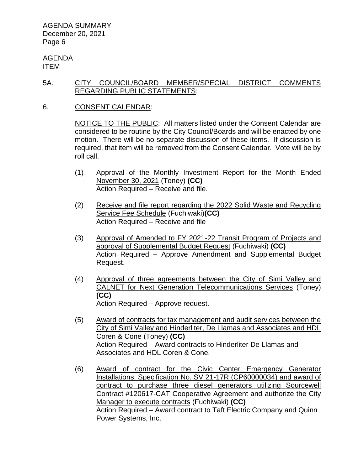AGENDA ITEM

### 5A. CITY COUNCIL/BOARD MEMBER/SPECIAL DISTRICT COMMENTS REGARDING PUBLIC STATEMENTS:

6. CONSENT CALENDAR:

NOTICE TO THE PUBLIC: All matters listed under the Consent Calendar are considered to be routine by the City Council/Boards and will be enacted by one motion. There will be no separate discussion of these items. If discussion is required, that item will be removed from the Consent Calendar. Vote will be by roll call.

- (1) Approval of the Monthly Investment Report for the Month Ended November 30, 2021 (Toney) **(CC)** Action Required – Receive and file.
- (2) Receive and file report regarding the 2022 Solid Waste and Recycling Service Fee Schedule (Fuchiwaki)**(CC)** Action Required – Receive and file
- (3) Approval of Amended to FY 2021-22 Transit Program of Projects and approval of Supplemental Budget Request (Fuchiwaki) **(CC)** Action Required – Approve Amendment and Supplemental Budget Request.
- (4) Approval of three agreements between the City of Simi Valley and CALNET for Next Generation Telecommunications Services (Toney) **(CC)** Action Required – Approve request.
- (5) Award of contracts for tax management and audit services between the City of Simi Valley and Hinderliter, De Llamas and Associates and HDL Coren & Cone (Toney) **(CC)** Action Required – Award contracts to Hinderliter De Llamas and Associates and HDL Coren & Cone.
- (6) Award of contract for the Civic Center Emergency Generator Installations, Specification No. SV 21-17R (CP60000034) and award of contract to purchase three diesel generators utilizing Sourcewell Contract #120617-CAT Cooperative Agreement and authorize the City Manager to execute contracts (Fuchiwaki) **(CC)** Action Required – Award contract to Taft Electric Company and Quinn Power Systems, Inc.